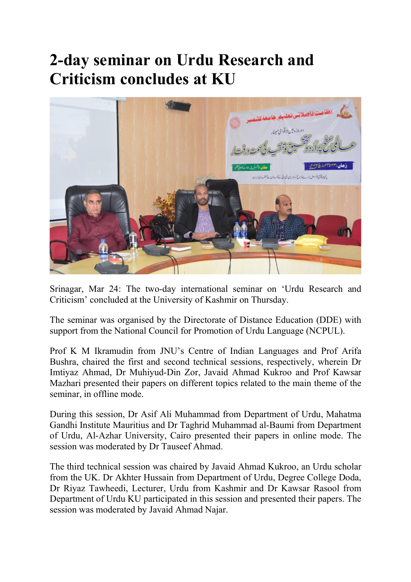## 2-day seminar on Urdu Research and Criticism concludes at KU



Srinagar, Mar 24: The two-day international seminar on 'Urdu Research and Criticism' concluded at the University of Kashmir on Thursday.

The seminar was organised by the Directorate of Distance Education (DDE) with support from the National Council for Promotion of Urdu Language (NCPUL).

Prof K M Ikramudin from JNU's Centre of Indian Languages and Prof Arifa Bushra, chaired the first and second technical sessions, respectively, wherein Dr Imtiyaz Ahmad, Dr Muhiyud-Din Zor, Javaid Ahmad Kukroo and Prof Kawsar Mazhari presented their papers on different topics related to the main theme of the seminar, in offline mode.

During this session, Dr Asif Ali Muhammad from Department of Urdu, Mahatma Gandhi Institute Mauritius and Dr Taghrid Muhammad al-Baumi from Department of Urdu, Al-Azhar University, Cairo presented their papers in online mode. The session was moderated by Dr Tauseef Ahmad.

The third technical session was chaired by Javaid Ahmad Kukroo, an Urdu scholar from the UK. Dr Akhter Hussain from Department of Urdu, Degree College Doda, Dr Riyaz Tawheedi, Lecturer, Urdu from Kashmir and Dr Kawsar Rasool from Department of Urdu KU participated in this session and presented their papers. The session was moderated by Javaid Ahmad Najar.